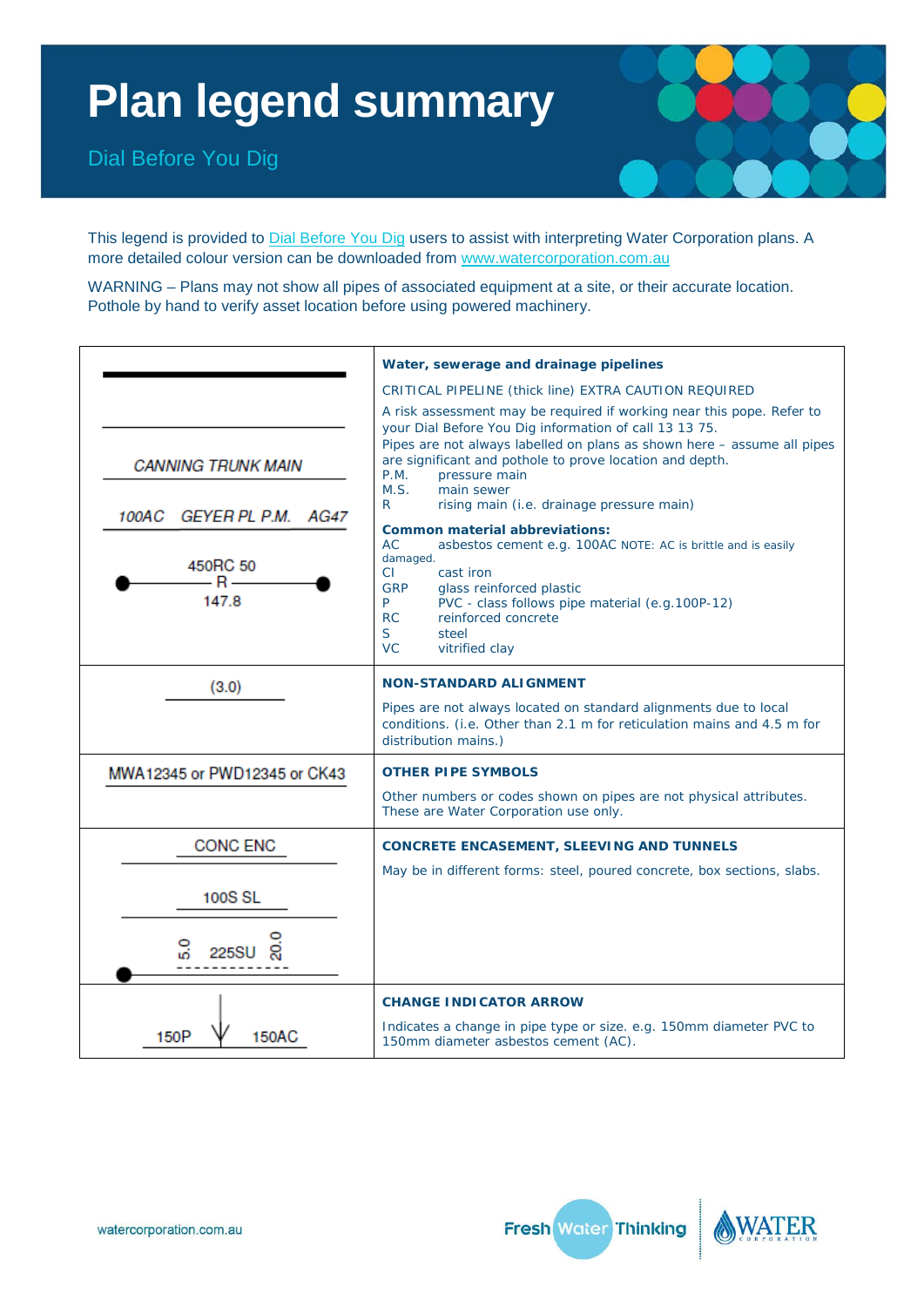## **Plan legend summary**

Dial Before You Dig



This legend is provided to [Dial Before You Dig](http://www.1100.com.au/) users to assist with interpreting Water Corporation plans. A more detailed colour version can be downloaded from [www.watercorporation.com.au](http://www.watercorporation.com.au/)

WARNING – Plans may not show all pipes of associated equipment at a site, or their accurate location. Pothole by hand to verify asset location before using powered machinery.

|                                                                                                 | Water, sewerage and drainage pipelines                                                                                                                                                                                                                                                                                                                                                                                                                                                                                                                                                                                                                                                                                                                                      |  |
|-------------------------------------------------------------------------------------------------|-----------------------------------------------------------------------------------------------------------------------------------------------------------------------------------------------------------------------------------------------------------------------------------------------------------------------------------------------------------------------------------------------------------------------------------------------------------------------------------------------------------------------------------------------------------------------------------------------------------------------------------------------------------------------------------------------------------------------------------------------------------------------------|--|
| <b>CANNING TRUNK MAIN</b><br>GEYER PL P.M. AG47<br>100AC<br>450RC 50<br>$\mathbf{R}$ –<br>147.8 | CRITICAL PIPELINE (thick line) EXTRA CAUTION REQUIRED<br>A risk assessment may be required if working near this pope. Refer to<br>your Dial Before You Dig information of call 13 13 75.<br>Pipes are not always labelled on plans as shown here - assume all pipes<br>are significant and pothole to prove location and depth.<br>P.M.<br>pressure main<br>M.S.<br>main sewer<br>R<br>rising main (i.e. drainage pressure main)<br><b>Common material abbreviations:</b><br><b>AC</b><br>asbestos cement e.g. 100AC NOTE: AC is brittle and is easily<br>damaged.<br>CI.<br>cast iron<br><b>GRP</b><br>glass reinforced plastic<br>P.<br>PVC - class follows pipe material (e.g.100P-12)<br>reinforced concrete<br><b>RC</b><br>S.<br>steel<br><b>VC</b><br>vitrified clay |  |
| (3.0)                                                                                           | <b>NON-STANDARD ALIGNMENT</b><br>Pipes are not always located on standard alignments due to local<br>conditions. (i.e. Other than 2.1 m for reticulation mains and 4.5 m for<br>distribution mains.)                                                                                                                                                                                                                                                                                                                                                                                                                                                                                                                                                                        |  |
| MWA12345 or PWD12345 or CK43                                                                    | <b>OTHER PIPE SYMBOLS</b><br>Other numbers or codes shown on pipes are not physical attributes.<br>These are Water Corporation use only.                                                                                                                                                                                                                                                                                                                                                                                                                                                                                                                                                                                                                                    |  |
| <b>CONC ENC</b><br><b>100S SL</b><br>225S                                                       | <b>CONCRETE ENCASEMENT, SLEEVING AND TUNNELS</b><br>May be in different forms: steel, poured concrete, box sections, slabs.                                                                                                                                                                                                                                                                                                                                                                                                                                                                                                                                                                                                                                                 |  |
| 150P<br><b>150AC</b>                                                                            | <b>CHANGE INDICATOR ARROW</b><br>Indicates a change in pipe type or size. e.g. 150mm diameter PVC to<br>150mm diameter asbestos cement (AC).                                                                                                                                                                                                                                                                                                                                                                                                                                                                                                                                                                                                                                |  |



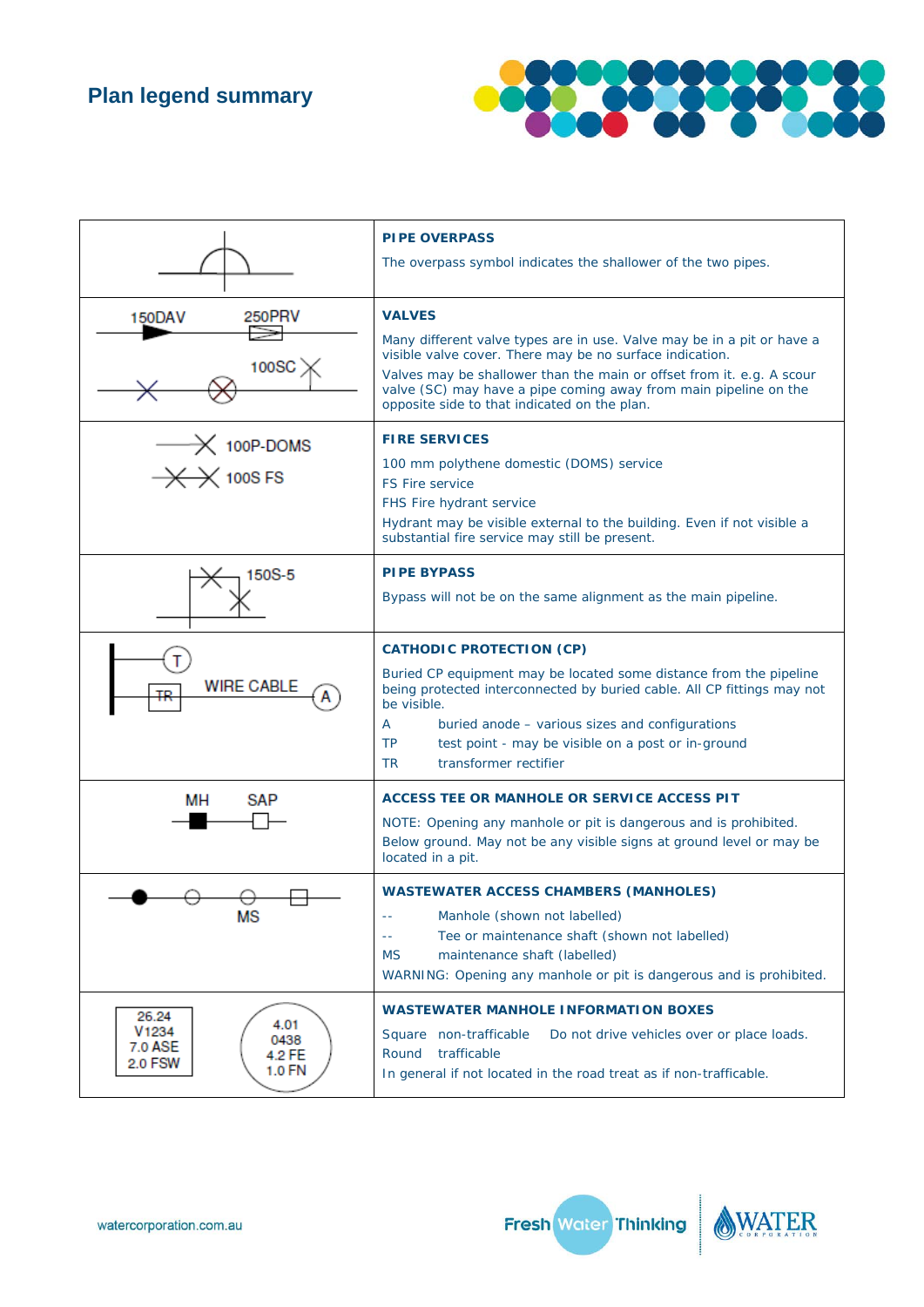**Plan legend summary** 



|                                                                                             | <b>PIPE OVERPASS</b><br>The overpass symbol indicates the shallower of the two pipes.                                                                                                                                                                                                                                                                            |  |
|---------------------------------------------------------------------------------------------|------------------------------------------------------------------------------------------------------------------------------------------------------------------------------------------------------------------------------------------------------------------------------------------------------------------------------------------------------------------|--|
| 250PRV<br>150DAV<br>100SC                                                                   | <b>VALVES</b><br>Many different valve types are in use. Valve may be in a pit or have a<br>visible valve cover. There may be no surface indication.<br>Valves may be shallower than the main or offset from it. e.g. A scour<br>valve (SC) may have a pipe coming away from main pipeline on the<br>opposite side to that indicated on the plan.                 |  |
| $\longrightarrow$ 100P-DOMS<br>$\mathcal{+}$ 100S FS                                        | <b>FIRE SERVICES</b><br>100 mm polythene domestic (DOMS) service<br><b>FS Fire service</b><br>FHS Fire hydrant service<br>Hydrant may be visible external to the building. Even if not visible a<br>substantial fire service may still be present.                                                                                                               |  |
| 150S-5                                                                                      | <b>PIPE BYPASS</b><br>Bypass will not be on the same alignment as the main pipeline.                                                                                                                                                                                                                                                                             |  |
| <b>WIRE CABLE</b>                                                                           | <b>CATHODIC PROTECTION (CP)</b><br>Buried CP equipment may be located some distance from the pipeline<br>being protected interconnected by buried cable. All CP fittings may not<br>be visible.<br>buried anode - various sizes and configurations<br>A<br><b>TP</b><br>test point - may be visible on a post or in-ground<br><b>TR</b><br>transformer rectifier |  |
| MН<br>SAP                                                                                   | <b>ACCESS TEE OR MANHOLE OR SERVICE ACCESS PIT</b><br>NOTE: Opening any manhole or pit is dangerous and is prohibited.<br>Below ground. May not be any visible signs at ground level or may be<br>located in a pit.                                                                                                                                              |  |
| мs                                                                                          | <b>WASTEWATER ACCESS CHAMBERS (MANHOLES)</b><br>Manhole (shown not labelled)<br>$\sim$ $-$<br>Tee or maintenance shaft (shown not labelled)<br>$\sim$ $\sim$<br>maintenance shaft (labelled)<br><b>MS</b><br>WARNING: Opening any manhole or pit is dangerous and is prohibited.                                                                                 |  |
| 26.24<br>4.01<br>V <sub>1234</sub><br>0438<br>7.0 ASE<br>4.2 FE<br><b>2.0 FSW</b><br>1.0 FN | <b>WASTEWATER MANHOLE INFORMATION BOXES</b><br>Square non-trafficable<br>Do not drive vehicles over or place loads.<br>Round trafficable<br>In general if not located in the road treat as if non-trafficable.                                                                                                                                                   |  |

Fresh Water Thinking